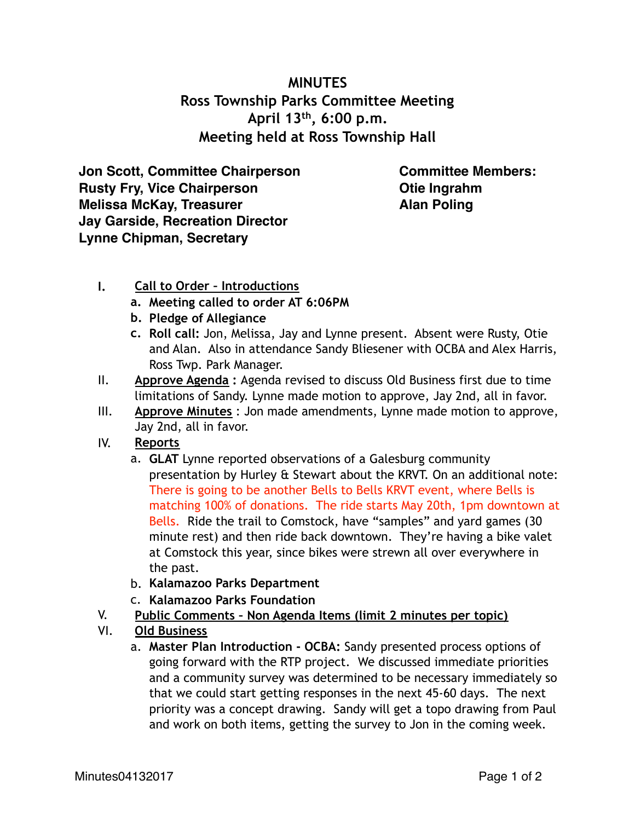## **MINUTES Ross Township Parks Committee Meeting April 13th, 6:00 p.m. Meeting held at Ross Township Hall**

**Jon Scott, Committee Chairperson Rusty Fry, Vice Chairperson Melissa McKay, Treasurer Jay Garside, Recreation Director Lynne Chipman, Secretary**

**Committee Members: Otie Ingrahm Alan Poling**

- **I. Call to Order Introductions** 
	- **a. Meeting called to order AT 6:06PM**
	- **b. Pledge of Allegiance**
	- **c. Roll call:** Jon, Melissa, Jay and Lynne present. Absent were Rusty, Otie and Alan. Also in attendance Sandy Bliesener with OCBA and Alex Harris, Ross Twp. Park Manager.
- II. **Approve Agenda :** Agenda revised to discuss Old Business first due to time limitations of Sandy. Lynne made motion to approve, Jay 2nd, all in favor.
- III. **Approve Minutes** : Jon made amendments, Lynne made motion to approve, Jay 2nd, all in favor.
- IV. **Reports**
	- a. **GLAT** Lynne reported observations of a Galesburg community presentation by Hurley & Stewart about the KRVT. On an additional note: There is going to be another Bells to Bells KRVT event, where Bells is matching 100% of donations. The ride starts May 20th, 1pm downtown at Bells. Ride the trail to Comstock, have "samples" and yard games (30 minute rest) and then ride back downtown. They're having a bike valet at Comstock this year, since bikes were strewn all over everywhere in the past.
	- b. **Kalamazoo Parks Department**
	- c. **Kalamazoo Parks Foundation**
- V. **Public Comments Non Agenda Items (limit 2 minutes per topic)**
- VI. **Old Business**
	- a. **Master Plan Introduction OCBA:** Sandy presented process options of going forward with the RTP project. We discussed immediate priorities and a community survey was determined to be necessary immediately so that we could start getting responses in the next 45-60 days. The next priority was a concept drawing. Sandy will get a topo drawing from Paul and work on both items, getting the survey to Jon in the coming week.